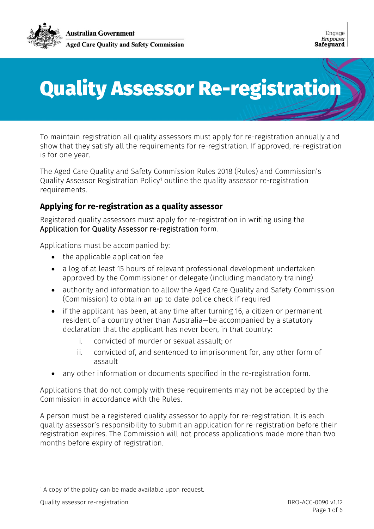

# Quality Assessor Re-registration

To maintain registration all quality assessors must apply for re-registration annually and show that they satisfy all the requirements for re-registration. If approved, re-registration is for one year.

The Aged Care Quality and Safety Commission Rules 2018 (Rules) and Commission's Quality Assessor Registration Policy<sup>[1](#page-0-0)</sup> outline the quality assessor re-registration requirements.

## **Applying for re-registration as a quality assessor**

Registered quality assessors must apply for re-registration in writing using the Application for Quality Assessor re-registration form.

Applications must be accompanied by:

- the applicable application fee
- a log of at least 15 hours of relevant professional development undertaken approved by the Commissioner or delegate (including mandatory training)
- authority and information to allow the Aged Care Quality and Safety Commission (Commission) to obtain an up to date police check if required
- if the applicant has been, at any time after turning 16, a citizen or permanent resident of a country other than Australia—be accompanied by a statutory declaration that the applicant has never been, in that country:
	- i. convicted of murder or sexual assault; or
	- ii. convicted of, and sentenced to imprisonment for, any other form of assault
- any other information or documents specified in the re-registration form.

Applications that do not comply with these requirements may not be accepted by the Commission in accordance with the Rules.

A person must be a registered quality assessor to apply for re-registration. It is each quality assessor's responsibility to submit an application for re-registration before their registration expires. The Commission will not process applications made more than two months before expiry of registration.

<span id="page-0-0"></span> $1$  A copy of the policy can be made available upon request.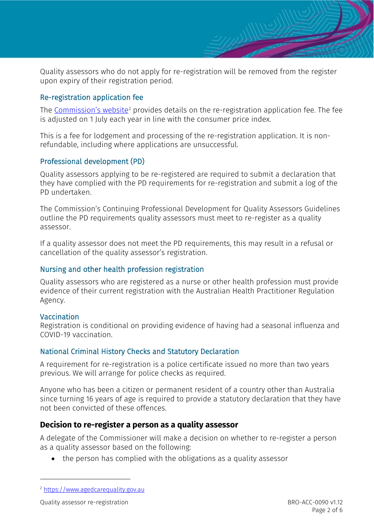Quality assessors who do not apply for re-registration will be removed from the register upon expiry of their registration period.

#### Re-registration application fee

The [Commission's website](https://www.agedcarequality.gov.au/)<sup>[2](#page-1-0)</sup> provides details on the re-registration application fee. The fee is adjusted on 1 July each year in line with the consumer price index.

This is a fee for lodgement and processing of the re-registration application. It is nonrefundable, including where applications are unsuccessful.

#### Professional development (PD)

Quality assessors applying to be re-registered are required to submit a declaration that they have complied with the PD requirements for re-registration and submit a log of the PD undertaken.

The Commission's Continuing Professional Development for Quality Assessors Guidelines outline the PD requirements quality assessors must meet to re-register as a quality assessor.

If a quality assessor does not meet the PD requirements, this may result in a refusal or cancellation of the quality assessor's registration.

#### Nursing and other health profession registration

Quality assessors who are registered as a nurse or other health profession must provide evidence of their current registration with the Australian Health Practitioner Regulation Agency.

#### Vaccination

Registration is conditional on providing evidence of having had a seasonal influenza and COVID-19 vaccination.

#### National Criminal History Checks and Statutory Declaration

A requirement for re-registration is a police certificate issued no more than two years previous. We will arrange for police checks as required.

Anyone who has been a citizen or permanent resident of a country other than Australia since turning 16 years of age is required to provide a statutory declaration that they have not been convicted of these offences.

#### **Decision to re-register a person as a quality assessor**

A delegate of the Commissioner will make a decision on whether to re-register a person as a quality assessor based on the following:

• the person has complied with the obligations as a quality assessor

<span id="page-1-0"></span><sup>2</sup> [https://www.agedcarequality.gov.au](https://www.agedcarequality.gov.au/)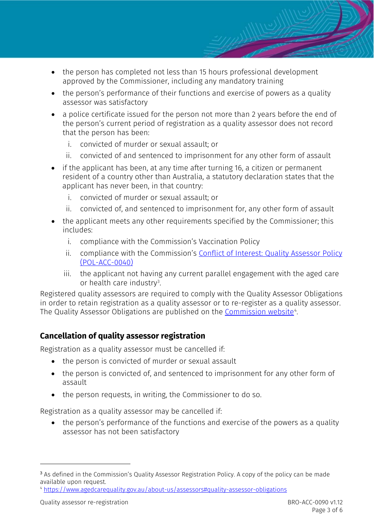- the person has completed not less than 15 hours professional development approved by the Commissioner, including any mandatory training
- the person's performance of their functions and exercise of powers as a quality assessor was satisfactory
- a police certificate issued for the person not more than 2 years before the end of the person's current period of registration as a quality assessor does not record that the person has been:
	- i. convicted of murder or sexual assault; or
	- ii. convicted of and sentenced to imprisonment for any other form of assault
- if the applicant has been, at any time after turning 16, a citizen or permanent resident of a country other than Australia, a statutory declaration states that the applicant has never been, in that country:
	- i. convicted of murder or sexual assault; or
	- ii. convicted of, and sentenced to imprisonment for, any other form of assault
- the applicant meets any other requirements specified by the Commissioner; this includes:
	- i. compliance with the Commission's Vaccination Policy
	- ii. compliance with the Commission's [Conflict of Interest: Quality Assessor Policy](https://www.agedcarequality.gov.au/about-us/assessors#conflict-of-interest) (POL-ACC-0040)
	- iii. the applicant not having any current parallel engagement with the aged care or health care industry<sup>[3](#page-2-0)</sup>.

Registered quality assessors are required to comply with the Quality Assessor Obligations in order to retain registration as a quality assessor or to re-register as a quality assessor. The Quality Assessor Obligations are published on the <u>Commission website</u>".

## **Cancellation of quality assessor registration**

Registration as a quality assessor must be cancelled if:

- the person is convicted of murder or sexual assault
- the person is convicted of, and sentenced to imprisonment for any other form of assault
- the person requests, in writing, the Commissioner to do so.

Registration as a quality assessor may be cancelled if:

• the person's performance of the functions and exercise of the powers as a quality assessor has not been satisfactory

<span id="page-2-0"></span><sup>&</sup>lt;sup>3</sup> As defined in the Commission's Quality Assessor Registration Policy. A copy of the policy can be made available upon request.

<span id="page-2-1"></span><sup>4</sup> <https://www.agedcarequality.gov.au/about-us/assessors#quality-assessor-obligations>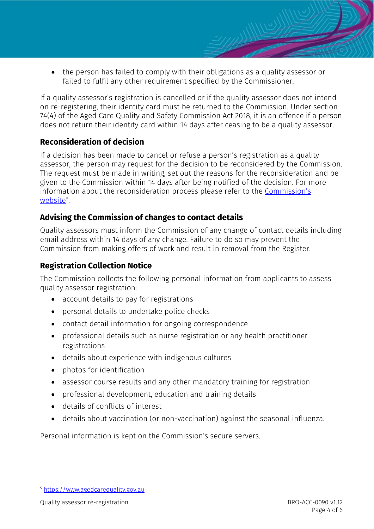• the person has failed to comply with their obligations as a quality assessor or failed to fulfil any other requirement specified by the Commissioner.

If a quality assessor's registration is cancelled or if the quality assessor does not intend on re-registering, their identity card must be returned to the Commission. Under section 74(4) of the Aged Care Quality and Safety Commission Act 2018, it is an offence if a person does not return their identity card within 14 days after ceasing to be a quality assessor.

## **Reconsideration of decision**

If a decision has been made to cancel or refuse a person's registration as a quality assessor, the person may request for the decision to be reconsidered by the Commission. The request must be made in writing, set out the reasons for the reconsideration and be given to the Commission within 14 days after being notified of the decision. For more information about the reconsideration process please refer to the Commission's <u>[website](https://www.agedcarequality.gov.au/)</u><sup>[5](#page-3-0)</sup>.

## **Advising the Commission of changes to contact details**

Quality assessors must inform the Commission of any change of contact details including email address within 14 days of any change. Failure to do so may prevent the Commission from making offers of work and result in removal from the Register.

## **Registration Collection Notice**

The Commission collects the following personal information from applicants to assess quality assessor registration:

- account details to pay for registrations
- personal details to undertake police checks
- contact detail information for ongoing correspondence
- professional details such as nurse registration or any health practitioner registrations
- details about experience with indigenous cultures
- photos for identification
- assessor course results and any other mandatory training for registration
- professional development, education and training details
- details of conflicts of interest
- details about vaccination (or non-vaccination) against the seasonal influenza.

Personal information is kept on the Commission's secure servers.

<span id="page-3-0"></span><sup>5</sup> [https://www.agedcarequality.gov.au](https://www.agedcarequality.gov.au/)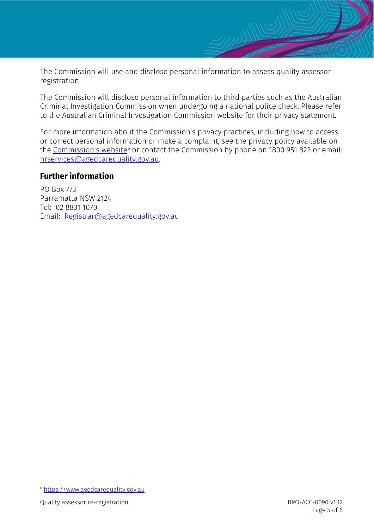The Commission will use and disclose personal information to assess quality assessor registration.

The Commission will disclose personal information to third parties such as the Australian Criminal Investigation Commission when undergoing a national police check. Please refer to the Australian Criminal Investigation Commission website for their privacy statement.

For more information about the Commission's privacy practices, including how to access or correct personal information or make a complaint, see the privacy policy available on the [Commission's](https://www.agedcarequality.gov.au/) website<sup>[6](#page-4-0)</sup> or contact the Commission by phone on 1800 951 822 or email: [hrservices@agedcarequality.gov.au.](mailto:hrservices@agedcarequality.gov.au)

## **Further information**

PO Box 773 Parramatta NSW 2124 Tel: 02 8831 1070 Email: [Registrar@agedcarequality.gov.au](mailto:Registrar@agedcarequality.gov.au)

<span id="page-4-0"></span><sup>6</sup> [https://www.agedcarequality.gov.au](https://www.agedcarequality.gov.au/)